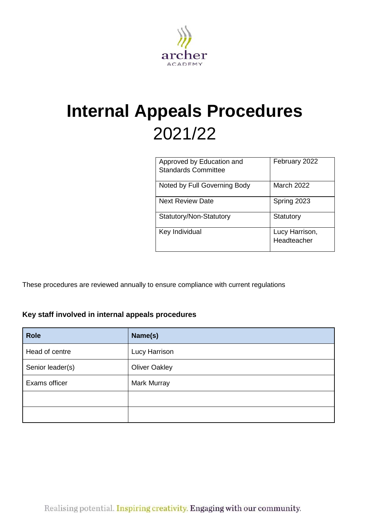

# **Internal Appeals Procedures** 2021/22

| Approved by Education and<br><b>Standards Committee</b> | February 2022                 |
|---------------------------------------------------------|-------------------------------|
| Noted by Full Governing Body                            | <b>March 2022</b>             |
| <b>Next Review Date</b>                                 | Spring 2023                   |
| Statutory/Non-Statutory                                 | Statutory                     |
| Key Individual                                          | Lucy Harrison,<br>Headteacher |

These procedures are reviewed annually to ensure compliance with current regulations

## <span id="page-0-0"></span>**Key staff involved in internal appeals procedures**

| <b>Role</b>      | Name(s)              |
|------------------|----------------------|
| Head of centre   | Lucy Harrison        |
| Senior leader(s) | <b>Oliver Oakley</b> |
| Exams officer    | <b>Mark Murray</b>   |
|                  |                      |
|                  |                      |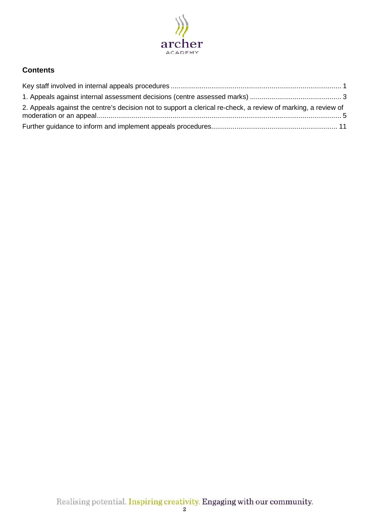

## **Contents**

| 2. Appeals against the centre's decision not to support a clerical re-check, a review of marking, a review of |  |
|---------------------------------------------------------------------------------------------------------------|--|
|                                                                                                               |  |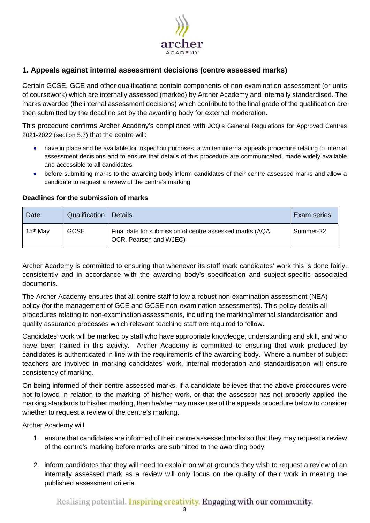

## <span id="page-2-0"></span>**1. Appeals against internal assessment decisions (centre assessed marks)**

Certain GCSE, GCE and other qualifications contain components of non-examination assessment (or units of coursework) which are internally assessed (marked) by Archer Academy and internally standardised. The marks awarded (the internal assessment decisions) which contribute to the final grade of the qualification are then submitted by the deadline set by the awarding body for external moderation.

This procedure confirms Archer Acadeny's compliance with JCQ's General Regulations for Approved Centres 2021-2022 (section 5.7) that the centre will:

- have in place and be available for inspection purposes, a written internal appeals procedure relating to internal assessment decisions and to ensure that details of this procedure are communicated, made widely available and accessible to all candidates
- before submitting marks to the awarding body inform candidates of their centre assessed marks and allow a candidate to request a review of the centre's marking

# Date Cualification Details **Details Exam series** Exam series 15<sup>th</sup> May GCSE Final date for submission of centre assessed marks (AQA, OCR, Pearson and WJEC) Summer-22

#### **Deadlines for the submission of marks**

Archer Academy is committed to ensuring that whenever its staff mark candidates' work this is done fairly, consistently and in accordance with the awarding body's specification and subject-specific associated documents.

The Archer Academy ensures that all centre staff follow a robust non-examination assessment (NEA) policy (for the management of GCE and GCSE non-examination assessments). This policy details all procedures relating to non-examination assessments, including the marking/internal standardisation and quality assurance processes which relevant teaching staff are required to follow.

Candidates' work will be marked by staff who have appropriate knowledge, understanding and skill, and who have been trained in this activity. Archer Academy is committed to ensuring that work produced by candidates is authenticated in line with the requirements of the awarding body. Where a number of subject teachers are involved in marking candidates' work, internal moderation and standardisation will ensure consistency of marking.

On being informed of their centre assessed marks, if a candidate believes that the above procedures were not followed in relation to the marking of his/her work, or that the assessor has not properly applied the marking standards to his/her marking, then he/she may make use of the appeals procedure below to consider whether to request a review of the centre's marking.

Archer Academy will

- 1. ensure that candidates are informed of their centre assessed marks so that they may request a review of the centre's marking before marks are submitted to the awarding body
- 2. inform candidates that they will need to explain on what grounds they wish to request a review of an internally assessed mark as a review will only focus on the quality of their work in meeting the published assessment criteria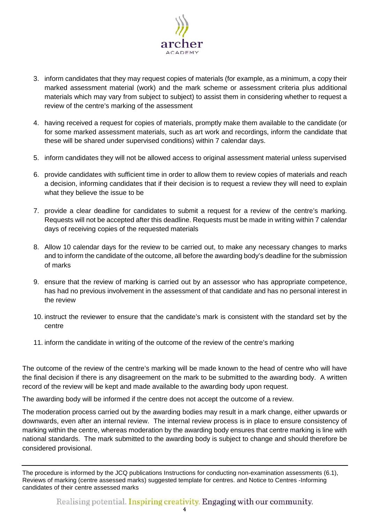

- 3. inform candidates that they may request copies of materials (for example, as a minimum, a copy their marked assessment material (work) and the mark scheme or assessment criteria plus additional materials which may vary from subject to subject) to assist them in considering whether to request a review of the centre's marking of the assessment
- 4. having received a request for copies of materials, promptly make them available to the candidate (or for some marked assessment materials, such as art work and recordings, inform the candidate that these will be shared under supervised conditions) within 7 calendar days.
- 5. inform candidates they will not be allowed access to original assessment material unless supervised
- 6. provide candidates with sufficient time in order to allow them to review copies of materials and reach a decision, informing candidates that if their decision is to request a review they will need to explain what they believe the issue to be
- 7. provide a clear deadline for candidates to submit a request for a review of the centre's marking. Requests will not be accepted after this deadline. Requests must be made in writing within 7 calendar days of receiving copies of the requested materials
- 8. Allow 10 calendar days for the review to be carried out, to make any necessary changes to marks and to inform the candidate of the outcome, all before the awarding body's deadline for the submission of marks
- 9. ensure that the review of marking is carried out by an assessor who has appropriate competence, has had no previous involvement in the assessment of that candidate and has no personal interest in the review
- 10. instruct the reviewer to ensure that the candidate's mark is consistent with the standard set by the centre
- 11. inform the candidate in writing of the outcome of the review of the centre's marking

The outcome of the review of the centre's marking will be made known to the head of centre who will have the final decision if there is any disagreement on the mark to be submitted to the awarding body. A written record of the review will be kept and made available to the awarding body upon request.

The awarding body will be informed if the centre does not accept the outcome of a review.

The moderation process carried out by the awarding bodies may result in a mark change, either upwards or downwards, even after an internal review. The internal review process is in place to ensure consistency of marking within the centre, whereas moderation by the awarding body ensures that centre marking is line with national standards. The mark submitted to the awarding body is subject to change and should therefore be considered provisional.

The procedure is informed by the JCQ publications [Instructions for conducting non-examination assessments](https://www.jcq.org.uk/exams-office/non-examination-assessments) (6.1), [Reviews of marking \(centre assessed marks\) suggested template for centres.](https://www.jcq.org.uk/exams-office/non-examination-assessments) and [Notice to Centres -Informing](https://www.jcq.org.uk/exams-office/non-examination-assessments)  [candidates of their centre assessed marks](https://www.jcq.org.uk/exams-office/non-examination-assessments)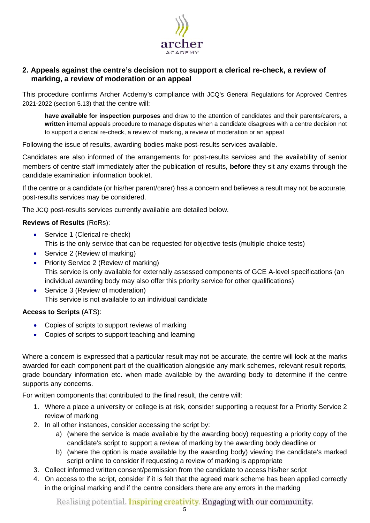

## <span id="page-4-0"></span>**2. Appeals against the centre's decision not to support a clerical re-check, a review of marking, a review of moderation or an appeal**

This procedure confirms Archer Acdemy's compliance with JCQ's General Regulations for Approved Centres 2021-2022 (section 5.13) that the centre will:

**have available for inspection purposes** and draw to the attention of candidates and their parents/carers, a **written** internal appeals procedure to manage disputes when a candidate disagrees with a centre decision not to support a clerical re-check, a review of marking, a review of moderation or an appeal

Following the issue of results, awarding bodies make post-results services available.

Candidates are also informed of the arrangements for post-results services and the availability of senior members of centre staff immediately after the publication of results, **before** they sit any exams through the candidate examination information booklet.

If the centre or a candidate (or his/her parent/carer) has a concern and believes a result may not be accurate, post-results services may be considered.

The JCQ post-results services currently available are detailed below.

#### **Reviews of Results** (RoRs):

- Service 1 (Clerical re-check) This is the only service that can be requested for objective tests (multiple choice tests)
- Service 2 (Review of marking)
- Priority Service 2 (Review of marking) This service is only available for externally assessed components of GCE A-level specifications (an individual awarding body may also offer this priority service for other qualifications)
- Service 3 (Review of moderation) This service is not available to an individual candidate

#### **Access to Scripts** (ATS):

- Copies of scripts to support reviews of marking
- Copies of scripts to support teaching and learning

Where a concern is expressed that a particular result may not be accurate, the centre will look at the marks awarded for each component part of the qualification alongside any mark schemes, relevant result reports, grade boundary information etc. when made available by the awarding body to determine if the centre supports any concerns.

For written components that contributed to the final result, the centre will:

- 1. Where a place a university or college is at risk, consider supporting a request for a Priority Service 2 review of marking
- 2. In all other instances, consider accessing the script by:
	- a) (where the service is made available by the awarding body) requesting a priority copy of the candidate's script to support a review of marking by the awarding body deadline or
	- b) (where the option is made available by the awarding body) viewing the candidate's marked script online to consider if requesting a review of marking is appropriate
- 3. Collect informed written consent/permission from the candidate to access his/her script
- 4. On access to the script, consider if it is felt that the agreed mark scheme has been applied correctly in the original marking and if the centre considers there are any errors in the marking

Realising potential. Inspiring creativity. Engaging with our community.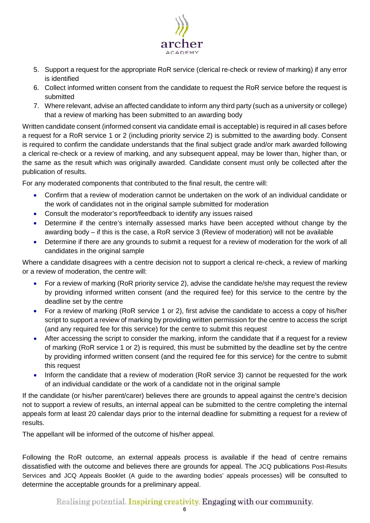

- 5. Support a request for the appropriate RoR service (clerical re-check or review of marking) if any error is identified
- 6. Collect informed written consent from the candidate to request the RoR service before the request is submitted
- 7. Where relevant, advise an affected candidate to inform any third party (such as a university or college) that a review of marking has been submitted to an awarding body

Written candidate consent (informed consent via candidate email is acceptable) is required in all cases before a request for a RoR service 1 or 2 (including priority service 2) is submitted to the awarding body. Consent is required to confirm the candidate understands that the final subject grade and/or mark awarded following a clerical re-check or a review of marking, and any subsequent appeal, may be lower than, higher than, or the same as the result which was originally awarded. Candidate consent must only be collected after the publication of results.

For any moderated components that contributed to the final result, the centre will:

- Confirm that a review of moderation cannot be undertaken on the work of an individual candidate or the work of candidates not in the original sample submitted for moderation
- Consult the moderator's report/feedback to identify any issues raised
- Determine if the centre's internally assessed marks have been accepted without change by the awarding body – if this is the case, a RoR service 3 (Review of moderation) will not be available
- Determine if there are any grounds to submit a request for a review of moderation for the work of all candidates in the original sample

Where a candidate disagrees with a centre decision not to support a clerical re-check, a review of marking or a review of moderation, the centre will:

- For a review of marking (RoR priority service 2), advise the candidate he/she may request the review by providing informed written consent (and the required fee) for this service to the centre by the deadline set by the centre
- For a review of marking (RoR service 1 or 2), first advise the candidate to access a copy of his/her script to support a review of marking by providing written permission for the centre to access the script (and any required fee for this service) for the centre to submit this request
- After accessing the script to consider the marking, inform the candidate that if a request for a review of marking (RoR service 1 or 2) is required, this must be submitted by the deadline set by the centre by providing informed written consent (and the required fee for this service) for the centre to submit this request
- Inform the candidate that a review of moderation (RoR service 3) cannot be requested for the work of an individual candidate or the work of a candidate not in the original sample

If the candidate (or his/her parent/carer) believes there are grounds to appeal against the centre's decision not to support a review of results, an internal appeal can be submitted to the centre completing the internal appeals form at least 20 calendar days prior to the internal deadline for submitting a request for a review of results.

The appellant will be informed of the outcome of his/her appeal.

Following the RoR outcome, an external appeals process is available if the head of centre remains dissatisfied with the outcome and believes there are grounds for appeal. The JCQ publications Post-Results Services and JCQ Appeals Booklet (A guide to the awarding bodies' appeals processes) will be consulted to determine the acceptable grounds for a preliminary appeal.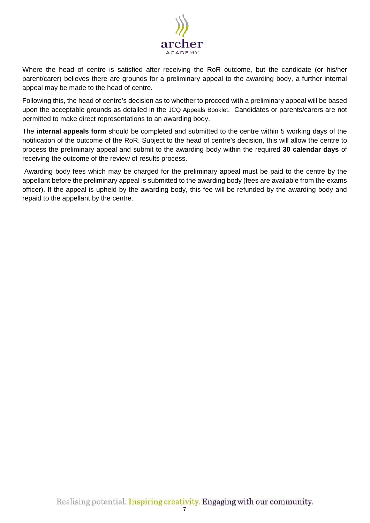

Where the head of centre is satisfied after receiving the RoR outcome, but the candidate (or his/her parent/carer) believes there are grounds for a preliminary appeal to the awarding body, a further internal appeal may be made to the head of centre.

Following this, the head of centre's decision as to whether to proceed with a preliminary appeal will be based upon the acceptable grounds as detailed in the JCQ Appeals Booklet. Candidates or parents/carers are not permitted to make direct representations to an awarding body.

The **internal appeals form** should be completed and submitted to the centre within 5 working days of the notification of the outcome of the RoR. Subject to the head of centre's decision, this will allow the centre to process the preliminary appeal and submit to the awarding body within the required **30 calendar days** of receiving the outcome of the review of results process.

Awarding body fees which may be charged for the preliminary appeal must be paid to the centre by the appellant before the preliminary appeal is submitted to the awarding body (fees are available from the exams officer). If the appeal is upheld by the awarding body, this fee will be refunded by the awarding body and repaid to the appellant by the centre.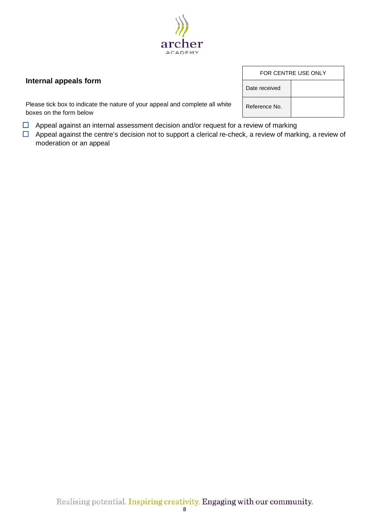

## **Internal appeals form**

Please tick box to indicate the nature of your appeal and complete all white boxes on the form below

- $\Box$  Appeal against an internal assessment decision and/or request for a review of marking
- $\Box$  Appeal against the centre's decision not to support a clerical re-check, a review of marking, a review of moderation or an appeal

| FOR CENTRE USE ONLY |  |  |
|---------------------|--|--|
| Date received       |  |  |
| Reference No.       |  |  |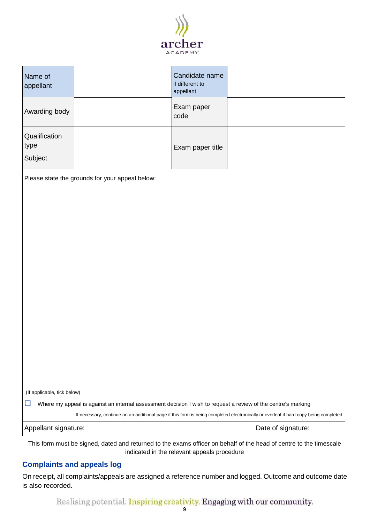

| Name of<br>appellant                                                                                                                 |                                                 | Candidate name<br>if different to<br>appellant |                                                                                                                   |
|--------------------------------------------------------------------------------------------------------------------------------------|-------------------------------------------------|------------------------------------------------|-------------------------------------------------------------------------------------------------------------------|
| Awarding body                                                                                                                        |                                                 | Exam paper<br>code                             |                                                                                                                   |
| Qualification<br>type<br>Subject                                                                                                     |                                                 | Exam paper title                               |                                                                                                                   |
|                                                                                                                                      | Please state the grounds for your appeal below: |                                                |                                                                                                                   |
|                                                                                                                                      |                                                 |                                                |                                                                                                                   |
|                                                                                                                                      |                                                 |                                                |                                                                                                                   |
|                                                                                                                                      |                                                 |                                                |                                                                                                                   |
|                                                                                                                                      |                                                 |                                                |                                                                                                                   |
|                                                                                                                                      |                                                 |                                                |                                                                                                                   |
|                                                                                                                                      |                                                 |                                                |                                                                                                                   |
|                                                                                                                                      |                                                 |                                                |                                                                                                                   |
|                                                                                                                                      |                                                 |                                                |                                                                                                                   |
|                                                                                                                                      |                                                 |                                                |                                                                                                                   |
|                                                                                                                                      |                                                 |                                                |                                                                                                                   |
|                                                                                                                                      |                                                 |                                                |                                                                                                                   |
|                                                                                                                                      |                                                 |                                                |                                                                                                                   |
|                                                                                                                                      |                                                 |                                                |                                                                                                                   |
|                                                                                                                                      |                                                 |                                                |                                                                                                                   |
| (If applicable, tick below)                                                                                                          |                                                 |                                                |                                                                                                                   |
| Where my appeal is against an internal assessment decision I wish to request a review of the centre's marking<br>ப                   |                                                 |                                                |                                                                                                                   |
| If necessary, continue on an additional page if this form is being completed electronically or overleaf if hard copy being completed |                                                 |                                                |                                                                                                                   |
| Appellant signature:<br>Date of signature:                                                                                           |                                                 |                                                |                                                                                                                   |
|                                                                                                                                      |                                                 |                                                | This form must be signed dated and returned to the exams officer on behalf of the head of centre to the timescale |

This form must be signed, dated and returned to the exams officer on behalf of the head of centre to the timescale indicated in the relevant appeals procedure

## **Complaints and appeals log**

On receipt, all complaints/appeals are assigned a reference number and logged. Outcome and outcome date is also recorded.

Realising potential. Inspiring creativity. Engaging with our community.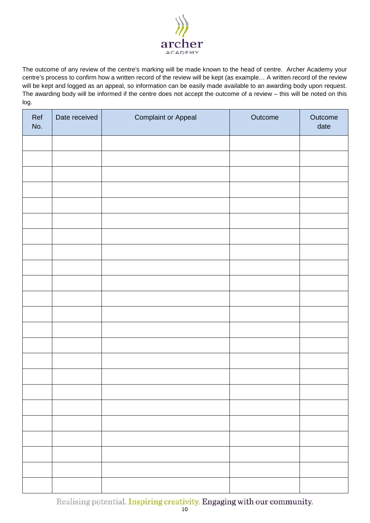

The outcome of any review of the centre's marking will be made known to the head of centre. Archer Academy your centre's process to confirm how a written record of the review will be kept (as example… A written record of the review will be kept and logged as an appeal, so information can be easily made available to an awarding body upon request. The awarding body will be informed if the centre does not accept the outcome of a review – this will be noted on this log.

| Ref<br>No. | Date received | <b>Complaint or Appeal</b> | Outcome | Outcome<br>date |
|------------|---------------|----------------------------|---------|-----------------|
|            |               |                            |         |                 |
|            |               |                            |         |                 |
|            |               |                            |         |                 |
|            |               |                            |         |                 |
|            |               |                            |         |                 |
|            |               |                            |         |                 |
|            |               |                            |         |                 |
|            |               |                            |         |                 |
|            |               |                            |         |                 |
|            |               |                            |         |                 |
|            |               |                            |         |                 |
|            |               |                            |         |                 |
|            |               |                            |         |                 |
|            |               |                            |         |                 |
|            |               |                            |         |                 |
|            |               |                            |         |                 |
|            |               |                            |         |                 |
|            |               |                            |         |                 |
|            |               |                            |         |                 |
|            |               |                            |         |                 |
|            |               |                            |         |                 |
|            |               |                            |         |                 |
|            |               |                            |         |                 |

Realising potential. Inspiring creativity. Engaging with our community.